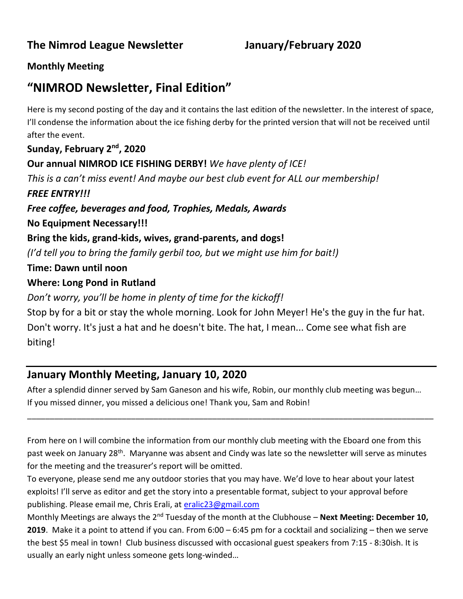# **Monthly Meeting**

# **"NIMROD Newsletter, Final Edition"**

Here is my second posting of the day and it contains the last edition of the newsletter. In the interest of space, I'll condense the information about the ice fishing derby for the printed version that will not be received until after the event.

**Sunday, February 2nd, 2020**

**Our annual NIMROD ICE FISHING DERBY!** *We have plenty of ICE!* 

*This is a can't miss event! And maybe our best club event for ALL our membership! FREE ENTRY!!!* 

*Free coffee, beverages and food, Trophies, Medals, Awards*

**No Equipment Necessary!!!**

**Bring the kids, grand-kids, wives, grand-parents, and dogs!** 

*(I'd tell you to bring the family gerbil too, but we might use him for bait!)*

**Time: Dawn until noon**

# **Where: Long Pond in Rutland**

*Don't worry, you'll be home in plenty of time for the kickoff!*

Stop by for a bit or stay the whole morning. Look for John Meyer! He's the guy in the fur hat. Don't worry. It's just a hat and he doesn't bite. The hat, I mean... Come see what fish are biting!

# **January Monthly Meeting, January 10, 2020**

After a splendid dinner served by Sam Ganeson and his wife, Robin, our monthly club meeting was begun… If you missed dinner, you missed a delicious one! Thank you, Sam and Robin!

\_\_\_\_\_\_\_\_\_\_\_\_\_\_\_\_\_\_\_\_\_\_\_\_\_\_\_\_\_\_\_\_\_\_\_\_\_\_\_\_\_\_\_\_\_\_\_\_\_\_\_\_\_\_\_\_\_\_\_\_\_\_\_\_\_\_\_\_\_\_\_\_\_\_\_\_\_\_\_\_\_\_\_\_\_\_\_\_\_\_

From here on I will combine the information from our monthly club meeting with the Eboard one from this past week on January 28<sup>th</sup>. Maryanne was absent and Cindy was late so the newsletter will serve as minutes for the meeting and the treasurer's report will be omitted.

To everyone, please send me any outdoor stories that you may have. We'd love to hear about your latest exploits! I'll serve as editor and get the story into a presentable format, subject to your approval before publishing. Please email me, Chris Erali, at [eralic23@gmail.com](mailto:eralic23@gmail.com)

Monthly Meetings are always the 2<sup>nd</sup> Tuesday of the month at the Clubhouse – **Next Meeting: December 10, 2019**. Make it a point to attend if you can. From 6:00 – 6:45 pm for a cocktail and socializing – then we serve the best \$5 meal in town! Club business discussed with occasional guest speakers from 7:15 - 8:30ish. It is usually an early night unless someone gets long-winded…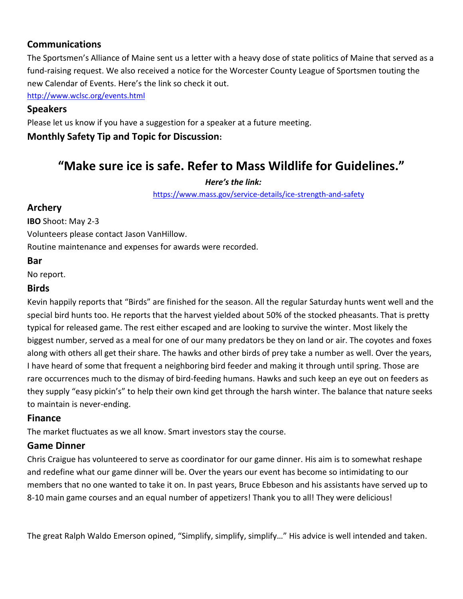# **Communications**

The Sportsmen's Alliance of Maine sent us a letter with a heavy dose of state politics of Maine that served as a fund-raising request. We also received a notice for the Worcester County League of Sportsmen touting the new Calendar of Events. Here's the link so check it out.

<http://www.wclsc.org/events.html>

## **Speakers**

Please let us know if you have a suggestion for a speaker at a future meeting.

**Monthly Safety Tip and Topic for Discussion:** 

# **"Make sure ice is safe. Refer to Mass Wildlife for Guidelines."**

### *Here's the link:*

<https://www.mass.gov/service-details/ice-strength-and-safety>

## **Archery**

**IBO** Shoot: May 2-3

Volunteers please contact Jason VanHillow.

Routine maintenance and expenses for awards were recorded.

## **Bar**

No report.

### **Birds**

Kevin happily reports that "Birds" are finished for the season. All the regular Saturday hunts went well and the special bird hunts too. He reports that the harvest yielded about 50% of the stocked pheasants. That is pretty typical for released game. The rest either escaped and are looking to survive the winter. Most likely the biggest number, served as a meal for one of our many predators be they on land or air. The coyotes and foxes along with others all get their share. The hawks and other birds of prey take a number as well. Over the years, I have heard of some that frequent a neighboring bird feeder and making it through until spring. Those are rare occurrences much to the dismay of bird-feeding humans. Hawks and such keep an eye out on feeders as they supply "easy pickin's" to help their own kind get through the harsh winter. The balance that nature seeks to maintain is never-ending.

# **Finance**

The market fluctuates as we all know. Smart investors stay the course.

# **Game Dinner**

Chris Craigue has volunteered to serve as coordinator for our game dinner. His aim is to somewhat reshape and redefine what our game dinner will be. Over the years our event has become so intimidating to our members that no one wanted to take it on. In past years, Bruce Ebbeson and his assistants have served up to 8-10 main game courses and an equal number of appetizers! Thank you to all! They were delicious!

The great Ralph Waldo Emerson opined, "Simplify, simplify, simplify…" His advice is well intended and taken.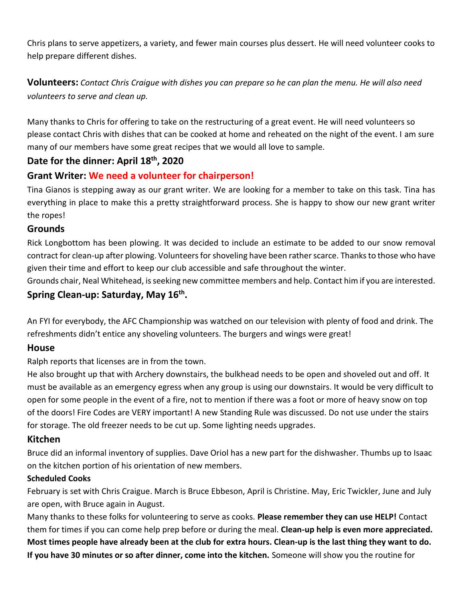Chris plans to serve appetizers, a variety, and fewer main courses plus dessert. He will need volunteer cooks to help prepare different dishes.

**Volunteers:** *Contact Chris Craigue with dishes you can prepare so he can plan the menu. He will also need volunteers to serve and clean up.*

Many thanks to Chris for offering to take on the restructuring of a great event. He will need volunteers so please contact Chris with dishes that can be cooked at home and reheated on the night of the event. I am sure many of our members have some great recipes that we would all love to sample.

# **Date for the dinner: April 18th, 2020**

# **Grant Writer: We need a volunteer for chairperson!**

Tina Gianos is stepping away as our grant writer. We are looking for a member to take on this task. Tina has everything in place to make this a pretty straightforward process. She is happy to show our new grant writer the ropes!

### **Grounds**

Rick Longbottom has been plowing. It was decided to include an estimate to be added to our snow removal contract for clean-up after plowing. Volunteers for shoveling have been rather scarce. Thanks to those who have given their time and effort to keep our club accessible and safe throughout the winter.

Grounds chair, Neal Whitehead, is seeking new committee members and help. Contact him if you are interested. **Spring Clean-up: Saturday, May 16th .**

An FYI for everybody, the AFC Championship was watched on our television with plenty of food and drink. The refreshments didn't entice any shoveling volunteers. The burgers and wings were great!

### **House**

Ralph reports that licenses are in from the town.

He also brought up that with Archery downstairs, the bulkhead needs to be open and shoveled out and off. It must be available as an emergency egress when any group is using our downstairs. It would be very difficult to open for some people in the event of a fire, not to mention if there was a foot or more of heavy snow on top of the doors! Fire Codes are VERY important! A new Standing Rule was discussed. Do not use under the stairs for storage. The old freezer needs to be cut up. Some lighting needs upgrades.

### **Kitchen**

Bruce did an informal inventory of supplies. Dave Oriol has a new part for the dishwasher. Thumbs up to Isaac on the kitchen portion of his orientation of new members.

### **Scheduled Cooks**

February is set with Chris Craigue. March is Bruce Ebbeson, April is Christine. May, Eric Twickler, June and July are open, with Bruce again in August.

Many thanks to these folks for volunteering to serve as cooks. **Please remember they can use HELP!** Contact them for times if you can come help prep before or during the meal. **Clean-up help is even more appreciated. Most times people have already been at the club for extra hours. Clean-up is the last thing they want to do. If you have 30 minutes or so after dinner, come into the kitchen.** Someone will show you the routine for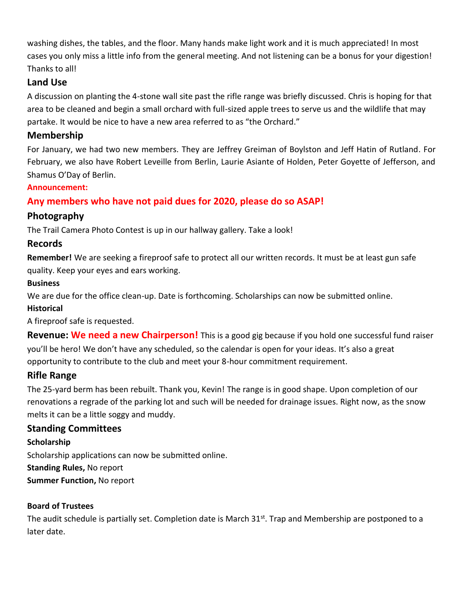washing dishes, the tables, and the floor. Many hands make light work and it is much appreciated! In most cases you only miss a little info from the general meeting. And not listening can be a bonus for your digestion! Thanks to all!

## **Land Use**

A discussion on planting the 4-stone wall site past the rifle range was briefly discussed. Chris is hoping for that area to be cleaned and begin a small orchard with full-sized apple trees to serve us and the wildlife that may partake. It would be nice to have a new area referred to as "the Orchard."

### **Membership**

For January, we had two new members. They are Jeffrey Greiman of Boylston and Jeff Hatin of Rutland. For February, we also have Robert Leveille from Berlin, Laurie Asiante of Holden, Peter Goyette of Jefferson, and Shamus O'Day of Berlin.

#### **Announcement:**

# **Any members who have not paid dues for 2020, please do so ASAP!**

## **Photography**

The Trail Camera Photo Contest is up in our hallway gallery. Take a look!

## **Records**

**Remember!** We are seeking a fireproof safe to protect all our written records. It must be at least gun safe quality. Keep your eyes and ears working.

#### **Business**

We are due for the office clean-up. Date is forthcoming. Scholarships can now be submitted online.

### **Historical**

A fireproof safe is requested.

**Revenue: We need a new Chairperson!** This is a good gig because if you hold one successful fund raiser you'll be hero! We don't have any scheduled, so the calendar is open for your ideas. It's also a great opportunity to contribute to the club and meet your 8-hour commitment requirement.

### **Rifle Range**

The 25-yard berm has been rebuilt. Thank you, Kevin! The range is in good shape. Upon completion of our renovations a regrade of the parking lot and such will be needed for drainage issues. Right now, as the snow melts it can be a little soggy and muddy.

# **Standing Committees**

### **Scholarship**

Scholarship applications can now be submitted online.

**Standing Rules,** No report

**Summer Function,** No report

### **Board of Trustees**

The audit schedule is partially set. Completion date is March 31<sup>st</sup>. Trap and Membership are postponed to a later date.